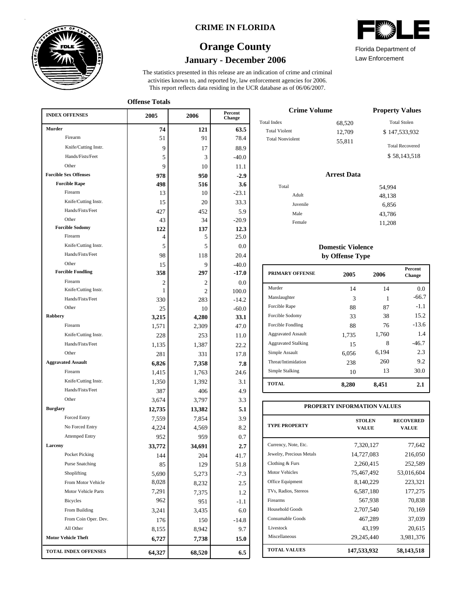

### **CRIME IN FLORIDA**

## **January - December 2006 Orange County**



**Offense Totals**

| <b>INDEX OFFENSES</b>        | 2005   | 2006   | Percent<br>Change |
|------------------------------|--------|--------|-------------------|
| Murder                       | 74     | 121    | 63.5              |
| Firearm                      | 51     | 91     | 78.4              |
| Knife/Cutting Instr.         | 9      | 17     | 88.9              |
| Hands/Fists/Feet             | 5      | 3      | $-40.0$           |
| Other                        | 9      | 10     | 11.1              |
| <b>Forcible Sex Offenses</b> | 978    | 950    | $-2.9$            |
| <b>Forcible Rape</b>         | 498    | 516    | 3.6               |
| Firearm                      | 13     | 10     | $-23.1$           |
| Knife/Cutting Instr.         | 15     | 20     | 33.3              |
| Hands/Fists/Feet             | 427    | 452    | 5.9               |
| Other                        | 43     | 34     | $-20.9$           |
| <b>Forcible Sodomy</b>       | 122    | 137    | 12.3              |
| Firearm                      | 4      | 5      | 25.0              |
| Knife/Cutting Instr.         | 5      | 5      | 0.0               |
| Hands/Fists/Feet             | 98     | 118    | 20.4              |
| Other                        | 15     | 9      | $-40.0$           |
| <b>Forcible Fondling</b>     | 358    | 297    | $-17.0$           |
| Firearm                      | 2      | 2      | 0.0               |
| Knife/Cutting Instr.         | 1      | 2      | 100.0             |
| Hands/Fists/Feet             | 330    | 283    | $-14.2$           |
| Other                        | 25     | 10     | $-60.0$           |
| Robbery                      | 3,215  | 4,280  | 33.1              |
| Firearm                      | 1,571  | 2,309  | 47.0              |
| Knife/Cutting Instr.         | 228    | 253    | 11.0              |
| Hands/Fists/Feet             | 1,135  | 1,387  | 22.2              |
| Other                        | 281    | 331    | 17.8              |
| <b>Aggravated Assault</b>    | 6,826  | 7,358  | 7.8               |
| Firearm                      | 1,415  | 1,763  | 24.6              |
| Knife/Cutting Instr.         | 1,350  | 1,392  | 3.1               |
| Hands/Fists/Feet             | 387    | 406    | 4.9               |
| Other                        | 3,674  | 3,797  | 3.3               |
| <b>Burglary</b>              | 12,735 | 13,382 | 5.1               |
| Forced Entry                 | 7,559  | 7,854  | 3.9               |
| No Forced Entry              | 4,224  | 4,569  | 8.2               |
| <b>Attemped Entry</b>        | 952    | 959    | 0.7               |
| Larceny                      | 33,772 | 34,691 | 2.7               |
| Pocket Picking               | 144    | 204    | 41.7              |
| <b>Purse Snatching</b>       | 85     | 129    | 51.8              |
| Shoplifting                  | 5,690  | 5,273  | $-7.3$            |
| From Motor Vehicle           | 8,028  | 8,232  | 2.5               |
| Motor Vehicle Parts          | 7,291  | 7,375  | 1.2               |
| <b>Bicycles</b>              | 962    | 951    | $-1.1$            |
| From Building                | 3,241  | 3,435  | 6.0               |
| From Coin Oper. Dev.         | 176    | 150    | $-14.8$           |
| All Other                    | 8,155  | 8,942  | 9.7               |
| <b>Motor Vehicle Theft</b>   | 6,727  | 7,738  | 15.0              |
| <b>TOTAL INDEX OFFENSES</b>  | 64,327 | 68,520 | 6.5               |

| <b>Crime Volume</b>     | <b>Property Values</b> |                        |  |
|-------------------------|------------------------|------------------------|--|
| <b>Total Index</b>      | 68,520                 | <b>Total Stolen</b>    |  |
| <b>Total Violent</b>    | 12.709                 | \$147,533,932          |  |
| <b>Total Nonviolent</b> | 55.811                 | <b>Total Recovered</b> |  |
|                         |                        | \$58,143,518           |  |

## **Arrest Data**

| Total |          | 54,994 |
|-------|----------|--------|
|       | Adult    | 48,138 |
|       | Juvenile | 6,856  |
|       | Male     | 43,786 |
|       | Female   | 11,208 |

### **Domestic Violence by Offense Type**

| <b>PRIMARY OFFENSE</b>     | 2005  | 2006  | <b>Percent</b><br>Change |
|----------------------------|-------|-------|--------------------------|
| Murder                     | 14    | 14    | $0.0^{\circ}$            |
| Manslaughter               | 3     | 1     | $-66.7$                  |
| Forcible Rape              | 88    | 87    | $-1.1$                   |
| Forcible Sodomy            | 33    | 38    | 15.2                     |
| Forcible Fondling          | 88    | 76    | $-13.6$                  |
| <b>Aggravated Assault</b>  | 1,735 | 1,760 | 1.4                      |
| <b>Aggravated Stalking</b> | 15    | 8     | $-46.7$                  |
| Simple Assault             | 6.056 | 6,194 | 2.3                      |
| Threat/Intimidation        | 238   | 260   | 9.2                      |
| Simple Stalking            | 10    | 13    | 30.0                     |
| <b>TOTAL</b>               | 8,280 | 8,451 | 2.1                      |

| PROPERTY INFORMATION VALUES |                               |                           |  |  |  |  |  |
|-----------------------------|-------------------------------|---------------------------|--|--|--|--|--|
| <b>TYPE PROPERTY</b>        | <b>STOLEN</b><br><b>VALUE</b> | <b>RECOVERED</b><br>VALUE |  |  |  |  |  |
| Currency, Note, Etc.        | 7,320,127                     | 77,642                    |  |  |  |  |  |
| Jewelry, Precious Metals    | 14,727,083                    | 216,050                   |  |  |  |  |  |
| Clothing & Furs             | 2,260,415                     | 252,589                   |  |  |  |  |  |
| <b>Motor Vehicles</b>       | 75,467,492                    | 53,016,604                |  |  |  |  |  |
| Office Equipment            | 8,140,229                     | 223,321                   |  |  |  |  |  |
| TVs, Radios, Stereos        | 6,587,180                     | 177,275                   |  |  |  |  |  |
| Firearms                    | 567,938                       | 70,838                    |  |  |  |  |  |
| Household Goods             | 2,707,540                     | 70,169                    |  |  |  |  |  |
| Consumable Goods            | 467,289                       | 37,039                    |  |  |  |  |  |
| Livestock                   | 43,199                        | 20,615                    |  |  |  |  |  |
| Miscellaneous               | 29,245,440                    | 3,981,376                 |  |  |  |  |  |
| <b>TOTAL VALUES</b>         | 147,533,932                   | 58,143,518                |  |  |  |  |  |



Law Enforcement Florida Department of